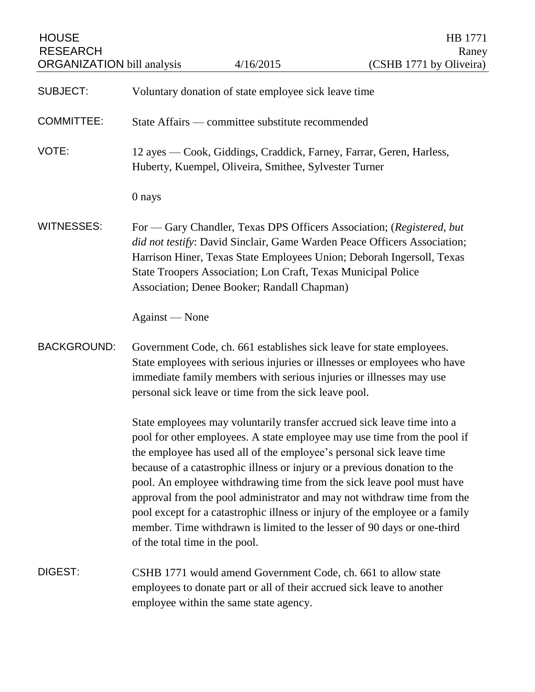| <b>HOUSE</b><br><b>RESEARCH</b><br><b>ORGANIZATION bill analysis</b>                                                                                                                                                                                                                                                                                            |                                                                                                                              | 4/16/2015                                                     | HB 1771<br>Raney<br>(CSHB 1771 by Oliveira)                                                                                                                                                                                                                                                                                                                                                                                                                                                                                                                                                                             |
|-----------------------------------------------------------------------------------------------------------------------------------------------------------------------------------------------------------------------------------------------------------------------------------------------------------------------------------------------------------------|------------------------------------------------------------------------------------------------------------------------------|---------------------------------------------------------------|-------------------------------------------------------------------------------------------------------------------------------------------------------------------------------------------------------------------------------------------------------------------------------------------------------------------------------------------------------------------------------------------------------------------------------------------------------------------------------------------------------------------------------------------------------------------------------------------------------------------------|
| <b>SUBJECT:</b>                                                                                                                                                                                                                                                                                                                                                 |                                                                                                                              | Voluntary donation of state employee sick leave time          |                                                                                                                                                                                                                                                                                                                                                                                                                                                                                                                                                                                                                         |
| <b>COMMITTEE:</b>                                                                                                                                                                                                                                                                                                                                               | State Affairs — committee substitute recommended                                                                             |                                                               |                                                                                                                                                                                                                                                                                                                                                                                                                                                                                                                                                                                                                         |
| VOTE:                                                                                                                                                                                                                                                                                                                                                           | 12 ayes — Cook, Giddings, Craddick, Farney, Farrar, Geren, Harless,<br>Huberty, Kuempel, Oliveira, Smithee, Sylvester Turner |                                                               |                                                                                                                                                                                                                                                                                                                                                                                                                                                                                                                                                                                                                         |
|                                                                                                                                                                                                                                                                                                                                                                 | 0 nays                                                                                                                       |                                                               |                                                                                                                                                                                                                                                                                                                                                                                                                                                                                                                                                                                                                         |
| <b>WITNESSES:</b><br>For - Gary Chandler, Texas DPS Officers Association; (Registered, but<br>did not testify: David Sinclair, Game Warden Peace Officers Association;<br>Harrison Hiner, Texas State Employees Union; Deborah Ingersoll, Texas<br>State Troopers Association; Lon Craft, Texas Municipal Police<br>Association; Denee Booker; Randall Chapman) |                                                                                                                              |                                                               |                                                                                                                                                                                                                                                                                                                                                                                                                                                                                                                                                                                                                         |
|                                                                                                                                                                                                                                                                                                                                                                 | Against — None                                                                                                               |                                                               |                                                                                                                                                                                                                                                                                                                                                                                                                                                                                                                                                                                                                         |
| <b>BACKGROUND:</b>                                                                                                                                                                                                                                                                                                                                              |                                                                                                                              | personal sick leave or time from the sick leave pool.         | Government Code, ch. 661 establishes sick leave for state employees.<br>State employees with serious injuries or illnesses or employees who have<br>immediate family members with serious injuries or illnesses may use                                                                                                                                                                                                                                                                                                                                                                                                 |
|                                                                                                                                                                                                                                                                                                                                                                 | of the total time in the pool.                                                                                               |                                                               | State employees may voluntarily transfer accrued sick leave time into a<br>pool for other employees. A state employee may use time from the pool if<br>the employee has used all of the employee's personal sick leave time<br>because of a catastrophic illness or injury or a previous donation to the<br>pool. An employee withdrawing time from the sick leave pool must have<br>approval from the pool administrator and may not withdraw time from the<br>pool except for a catastrophic illness or injury of the employee or a family<br>member. Time withdrawn is limited to the lesser of 90 days or one-third |
| DIGEST:                                                                                                                                                                                                                                                                                                                                                         | employee within the same state agency.                                                                                       | CSHB 1771 would amend Government Code, ch. 661 to allow state | employees to donate part or all of their accrued sick leave to another                                                                                                                                                                                                                                                                                                                                                                                                                                                                                                                                                  |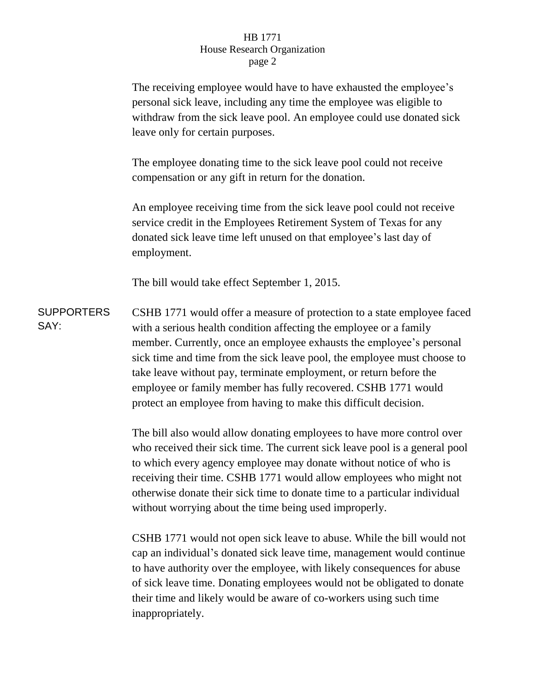## HB 1771 House Research Organization page 2

The receiving employee would have to have exhausted the employee's personal sick leave, including any time the employee was eligible to withdraw from the sick leave pool. An employee could use donated sick leave only for certain purposes.

The employee donating time to the sick leave pool could not receive compensation or any gift in return for the donation.

An employee receiving time from the sick leave pool could not receive service credit in the Employees Retirement System of Texas for any donated sick leave time left unused on that employee's last day of employment.

The bill would take effect September 1, 2015.

**SUPPORTERS** SAY: CSHB 1771 would offer a measure of protection to a state employee faced with a serious health condition affecting the employee or a family member. Currently, once an employee exhausts the employee's personal sick time and time from the sick leave pool, the employee must choose to take leave without pay, terminate employment, or return before the employee or family member has fully recovered. CSHB 1771 would protect an employee from having to make this difficult decision.

> The bill also would allow donating employees to have more control over who received their sick time. The current sick leave pool is a general pool to which every agency employee may donate without notice of who is receiving their time. CSHB 1771 would allow employees who might not otherwise donate their sick time to donate time to a particular individual without worrying about the time being used improperly.

> CSHB 1771 would not open sick leave to abuse. While the bill would not cap an individual's donated sick leave time, management would continue to have authority over the employee, with likely consequences for abuse of sick leave time. Donating employees would not be obligated to donate their time and likely would be aware of co-workers using such time inappropriately.